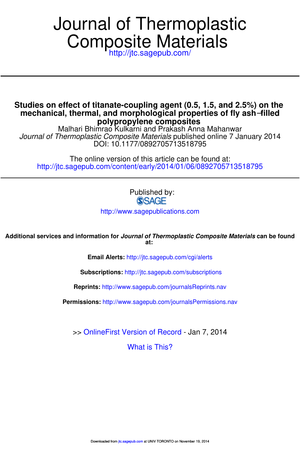# Composite Materials Journal of Thermoplastic

http://jtc.sagepub.com/

**polypropylene composites mechanical, thermal, and morphological properties of fly ash**−**filled Studies on effect of titanate-coupling agent (0.5, 1.5, and 2.5%) on the**

DOI: 10.1177/0892705713518795 Journal of Thermoplastic Composite Materials published online 7 January 2014 Malhari Bhimrao Kulkarni and Prakash Anna Mahanwar

http://jtc.sagepub.com/content/early/2014/01/06/0892705713518795 The online version of this article can be found at:

> Published by: **SSAGE**

http://www.sagepublications.com

**at: Additional services and information for Journal of Thermoplastic Composite Materials can be found**

**Email Alerts:** http://jtc.sagepub.com/cgi/alerts

**Subscriptions:** http://jtc.sagepub.com/subscriptions

**Reprints:** http://www.sagepub.com/journalsReprints.nav

**Permissions:** http://www.sagepub.com/journalsPermissions.nav

>> OnlineFirst Version of Record - Jan 7, 2014

What is This?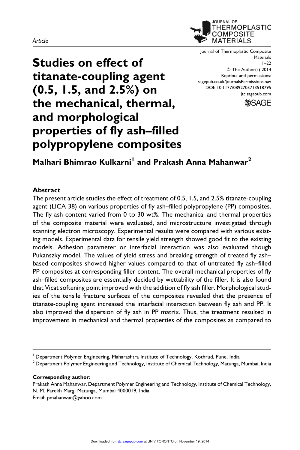#### Article



Journal of Thermoplastic Composite Materials 1–22 © The Author(s) 2014 Reprints and permissions: sagepub.co.uk/journalsPermissions.nav DOI: 10.1177/0892705713518795 jtc.sagepub.com



# Studies on effect of titanate-coupling agent (0.5, 1.5, and 2.5%) on the mechanical, thermal, and morphological properties of fly ash–filled polypropylene composites

# Malhari Bhimrao Kulkarni<sup>l</sup> and Prakash Anna Mahanwar<sup>2</sup>

# Abstract

The present article studies the effect of treatment of 0.5, 1.5, and 2.5% titanate-coupling agent (LICA 38) on various properties of fly ash–filled polypropylene (PP) composites. The fly ash content varied from 0 to 30 wt%. The mechanical and thermal properties of the composite material were evaluated, and microstructure investigated through scanning electron microscopy. Experimental results were compared with various existing models. Experimental data for tensile yield strength showed good fit to the existing models. Adhesion parameter or interfacial interaction was also evaluated though Pukanszky model. The values of yield stress and breaking strength of treated fly ash– based composites showed higher values compared to that of untreated fly ash–filled PP composites at corresponding filler content. The overall mechanical properties of fly ash–filled composites are essentially decided by wettability of the filler. It is also found that Vicat softening point improved with the addition of fly ash filler. Morphological studies of the tensile fracture surfaces of the composites revealed that the presence of titanate-coupling agent increased the interfacial interaction between fly ash and PP. It also improved the dispersion of fly ash in PP matrix. Thus, the treatment resulted in improvement in mechanical and thermal properties of the composites as compared to

 $^2$  Department Polymer Engineering and Technology, Institute of Chemical Technology, Matunga, Mumbai, India

#### Corresponding author:

Prakash Anna Mahanwar, Department Polymer Engineering and Technology, Institute of Chemical Technology, N. M. Parekh Marg, Matunga, Mumbai 4000019, India. Email: pmahanwar@yahoo.com

<sup>&</sup>lt;sup>1</sup> Department Polymer Engineering, Maharashtra Institute of Technology, Kothrud, Pune, India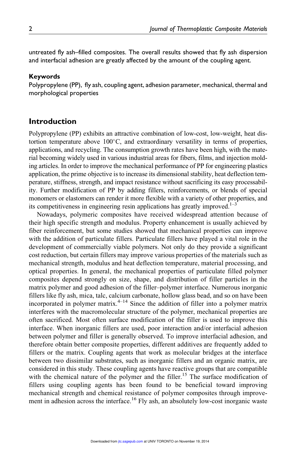untreated fly ash–filled composites. The overall results showed that fly ash dispersion and interfacial adhesion are greatly affected by the amount of the coupling agent.

#### Keywords

Polypropylene (PP), fly ash, coupling agent, adhesion parameter, mechanical, thermal and morphological properties

# Introduction

Polypropylene (PP) exhibits an attractive combination of low-cost, low-weight, heat distortion temperature above 100°C, and extraordinary versatility in terms of properties, applications, and recycling. The consumption growth rates have been high, with the material becoming widely used in various industrial areas for fibers, films, and injection molding articles. In order to improve the mechanical performance of PP for engineering plastics application, the prime objective is to increase its dimensional stability, heat deflection temperature, stiffness, strength, and impact resistance without sacrificing its easy processability. Further modification of PP by adding fillers, reinforcements, or blends of special monomers or elastomers can render it more flexible with a variety of other properties, and its competitiveness in engineering resin applications has greatly improved.<sup>1–3</sup>

Nowadays, polymeric composites have received widespread attention because of their high specific strength and modulus. Property enhancement is usually achieved by fiber reinforcement, but some studies showed that mechanical properties can improve with the addition of particulate fillers. Particulate fillers have played a vital role in the development of commercially viable polymers. Not only do they provide a significant cost reduction, but certain fillers may improve various properties of the materials such as mechanical strength, modulus and heat deflection temperature, material processing, and optical properties. In general, the mechanical properties of particulate filled polymer composites depend strongly on size, shape, and distribution of filler particles in the matrix polymer and good adhesion of the filler–polymer interface. Numerous inorganic fillers like fly ash, mica, talc, calcium carbonate, hollow glass bead, and so on have been incorporated in polymer matrix. $4-14$  Since the addition of filler into a polymer matrix interferes with the macromolecular structure of the polymer, mechanical properties are often sacrificed. Most often surface modification of the filler is used to improve this interface. When inorganic fillers are used, poor interaction and/or interfacial adhesion between polymer and filler is generally observed. To improve interfacial adhesion, and therefore obtain better composite properties, different additives are frequently added to fillers or the matrix. Coupling agents that work as molecular bridges at the interface between two dissimilar substrates, such as inorganic fillers and an organic matrix, are considered in this study. These coupling agents have reactive groups that are compatible with the chemical nature of the polymer and the filler.<sup>15</sup> The surface modification of fillers using coupling agents has been found to be beneficial toward improving mechanical strength and chemical resistance of polymer composites through improvement in adhesion across the interface.<sup>16</sup> Fly ash, an absolutely low-cost inorganic waste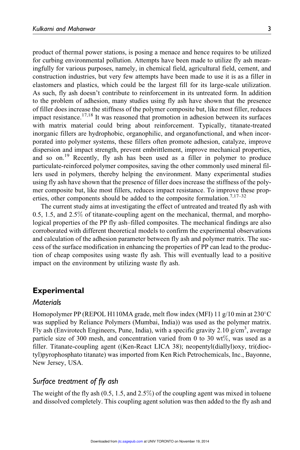product of thermal power stations, is posing a menace and hence requires to be utilized for curbing environmental pollution. Attempts have been made to utilize fly ash meaningfully for various purposes, namely, in chemical field, agricultural field, cement, and construction industries, but very few attempts have been made to use it is as a filler in elastomers and plastics, which could be the largest fill for its large-scale utilization. As such, fly ash doesn't contribute to reinforcement in its untreated form. In addition to the problem of adhesion, many studies using fly ash have shown that the presence of filler does increase the stiffness of the polymer composite but, like most filler, reduces impact resistance. $17,18$  It was reasoned that promotion in adhesion between its surfaces with matrix material could bring about reinforcement. Typically, titanate-treated inorganic fillers are hydrophobic, organophilic, and organofunctional, and when incorporated into polymer systems, these fillers often promote adhesion, catalyze, improve dispersion and impact strength, prevent embrittlement, improve mechanical properties, and so on.<sup>19</sup> Recently, fly ash has been used as a filler in polymer to produce particulate-reinforced polymer composites, saving the other commonly used mineral fillers used in polymers, thereby helping the environment. Many experimental studies using fly ash have shown that the presence of filler does increase the stiffness of the polymer composite but, like most fillers, reduces impact resistance. To improve these properties, other components should be added to the composite formulation.<sup>7,17-32</sup>

The current study aims at investigating the effect of untreated and treated fly ash with 0.5, 1.5, and 2.5% of titanate-coupling agent on the mechanical, thermal, and morphological properties of the PP fly ash–filled composites. The mechanical findings are also corroborated with different theoretical models to confirm the experimental observations and calculation of the adhesion parameter between fly ash and polymer matrix. The success of the surface modification in enhancing the properties of PP can lead to the production of cheap composites using waste fly ash. This will eventually lead to a positive impact on the environment by utilizing waste fly ash.

# **Experimental**

#### **Materials**

Homopolymer PP (REPOL H110MA grade, melt flow index (MFI) 11 g/10 min at 230°C was supplied by Reliance Polymers (Mumbai, India)) was used as the polymer matrix. Fly ash (Envirotech Engineers, Pune, India), with a specific gravity 2.10  $g/cm<sup>3</sup>$ , average particle size of 300 mesh, and concentration varied from 0 to 30 wt%, was used as a filler. Titanate-coupling agent ((Ken-React LICA 38); neopentyl(diallyl)oxy, tri(dioctyl)pyrophosphato titanate) was imported from Ken Rich Petrochemicals, Inc., Bayonne, New Jersey, USA.

# Surface treatment of fly ash

The weight of the fly ash  $(0.5, 1.5, \text{ and } 2.5\%)$  of the coupling agent was mixed in toluene and dissolved completely. This coupling agent solution was then added to the fly ash and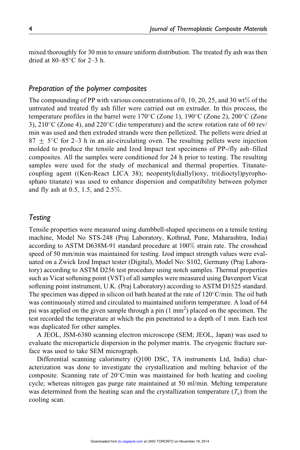mixed thoroughly for 30 min to ensure uniform distribution. The treated fly ash was then dried at  $80-85^{\circ}$ C for 2-3 h.

# Preparation of the polymer composites

The compounding of PP with various concentrations of 0, 10, 20, 25, and 30 wt% of the untreated and treated fly ash filler were carried out on extruder. In this process, the temperature profiles in the barrel were  $170^{\circ}$ C (Zone 1),  $190^{\circ}$ C (Zone 2),  $200^{\circ}$ C (Zone 3),  $210^{\circ}$ C (Zone 4), and  $220^{\circ}$ C (die temperature) and the screw rotation rate of 60 rev/ min was used and then extruded strands were then pelletized. The pellets were dried at  $87 \pm 5$ °C for 2–3 h in an air-circulating oven. The resulting pellets were injection molded to produce the tensile and Izod Impact test specimens of PP-/fly ash–filled composites. All the samples were conditioned for 24 h prior to testing. The resulting samples were used for the study of mechanical and thermal properties. Titanatecoupling agent ((Ken-React LICA 38); neopentyl(diallyl)oxy, tri(dioctyl)pyrophosphato titanate) was used to enhance dispersion and compatibility between polymer and fly ash at 0.5, 1.5, and 2.5%.

# Testing

Tensile properties were measured using dumbbell-shaped specimens on a tensile testing machine, Model No STS-248 (Praj Laboratory, Kothrud, Pune, Maharashtra, India) according to ASTM D638M-91 standard procedure at 100% strain rate. The crosshead speed of 50 mm/min was maintained for testing. Izod impact strength values were evaluated on a Zwick Izod Impact tester (Digital), Model No: S102, Germany (Praj Laboratory) according to ASTM D256 test procedure using notch samples. Thermal properties such as Vicat softening point (VST) of all samples were measured using Davenport Vicat softening point instrument, U.K. (Praj Laboratory) according to ASTM D1525 standard. The specimen was dipped in silicon oil bath heated at the rate of  $120^{\circ}$ C/min. The oil bath was continuously stirred and circulated to maintained uniform temperature. A load of 64 psi was applied on the given sample through a pin  $(1 \text{ mm}^2)$  placed on the specimen. The test recorded the temperature at which the pin penetrated to a depth of 1 mm. Each test was duplicated for other samples.

A JEOL, JSM-6380 scanning electron microscope (SEM; JEOL, Japan) was used to evaluate the microparticle dispersion in the polymer matrix. The cryogenic fracture surface was used to take SEM micrograph.

Differential scanning calorimetry (Q100 DSC, TA instruments Ltd, India) characterization was done to investigate the crystallization and melting behavior of the composite. Scanning rate of 20°C/min was maintained for both heating and cooling cycle; whereas nitrogen gas purge rate maintained at 50 ml/min. Melting temperature was determined from the heating scan and the crystallization temperature  $(T_c)$  from the cooling scan.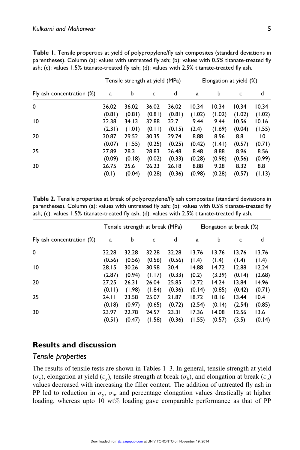|                           |        |        | Tensile strength at yield (MPa) |        | Elongation at yield (%) |        |        |        |  |
|---------------------------|--------|--------|---------------------------------|--------|-------------------------|--------|--------|--------|--|
| Fly ash concentration (%) | a      | b      | c                               | d      | a                       | b      | c      | d      |  |
| 0                         | 36.02  | 36.02  | 36.02                           | 36.02  | 10.34                   | 10.34  | 10.34  | 10.34  |  |
|                           | (0.81) | (0.81) | (0.81)                          | (0.81) | (1.02)                  | (1.02) | (1.02) | (1.02) |  |
| 10                        | 32.38  | 34.13  | 32.88                           | 32.7   | 9.44                    | 9.44   | 10.56  | 10.16  |  |
|                           | (2.31) | (1.01) | (0.11)                          | (0.15) | (2.4)                   | (1.69) | (0.04) | (1.55) |  |
| 20                        | 30.87  | 29.52  | 30.35                           | 29.74  | 8.88                    | 8.96   | 8.8    | 10     |  |
|                           | (0.07) | (1.55) | (0.25)                          | (0.25) | (0.42)                  | (1.41) | (0.57) | (0.71) |  |
| 25                        | 27.89  | 28.3   | 28.83                           | 26.48  | 8.48                    | 8.88   | 8.96   | 8.56   |  |
|                           | (0.09) | (0.18) | (0.02)                          | (0.33) | (0.28)                  | (0.98) | (0.56) | (0.99) |  |
| 30                        | 26.75  | 25.6   | 26.23                           | 26.18  | 8.88                    | 9.28   | 8.32   | 8.8    |  |
|                           | (0.1)  | (0.04) | (0.28)                          | (0.36) | (0.98)                  | (0.28) | (0.57) | (1.13) |  |

Table 1. Tensile properties at yield of polypropylene/fly ash composites (standard deviations in parentheses). Column (a): values with untreated fly ash; (b): values with 0.5% titanate-treated fly ash; (c): values 1.5% titanate-treated fly ash; (d): values with 2.5% titanate-treated fly ash.

Table 2. Tensile properties at break of polypropylene/fly ash composites (standard deviations in parentheses). Column (a): values with untreated fly ash; (b): values with 0.5% titanate-treated fly ash; (c): values 1.5% titanate-treated fly ash; (d): values with 2.5% titanate-treated fly ash.

|                           |        |        | Tensile strength at break (MPa) |        | Elongation at break (%) |        |        |        |
|---------------------------|--------|--------|---------------------------------|--------|-------------------------|--------|--------|--------|
| Fly ash concentration (%) | a      | b      | c                               | d      | a                       | b      | c      | d      |
| 0                         | 32.28  | 32.28  | 32.28                           | 32.28  | 13.76                   | 13.76  | 13.76  | 13.76  |
|                           | (0.56) | (0.56) | (0.56)                          | (0.56) | (1.4)                   | (1.4)  | (1.4)  | (1.4)  |
| 10                        | 28.15  | 30.26  | 30.98                           | 30.4   | 14.88                   | 14.72  | 12.88  | 12.24  |
|                           | (2.87) | (0.94) | (1.17)                          | (0.33) | (0.2)                   | (3.39) | (0.14) | (2.68) |
| 20                        | 27.25  | 26.31  | 26.04                           | 25.85  | 12.72                   | 14.24  | 13.84  | 14.96  |
|                           | (0.11) | (1.98) | (1.84)                          | (0.36) | (0.14)                  | (0.85) | (0.42) | (0.71) |
| 25                        | 24.11  | 23.58  | 25.07                           | 21.87  | 18.72                   | 18.16  | 13.44  | 10.4   |
|                           | (0.18) | (0.97) | (0.65)                          | (0.72) | (2.54)                  | (0.14) | (2.54) | (0.85) |
| 30                        | 23.97  | 22.78  | 24.57                           | 23.31  | 17.36                   | 14.08  | 12.56  | 13.6   |
|                           | (0.51) | (0.47) | (1.58)                          | (0.36) | (1.55)                  | (0.57) | (3.5)  | (0.14) |

# Results and discussion

# Tensile properties

The results of tensile tests are shown in Tables 1–3. In general, tensile strength at yield  $(\sigma_y)$ , elongation at yield  $(\varepsilon_y)$ , tensile strength at break  $(\sigma_b)$ , and elongation at break  $(\varepsilon_b)$ values decreased with increasing the filler content. The addition of untreated fly ash in PP led to reduction in  $\sigma_y$ ,  $\sigma_b$ , and percentage elongation values drastically at higher loading, whereas upto 10  $wt\%$  loading gave comparable performance as that of PP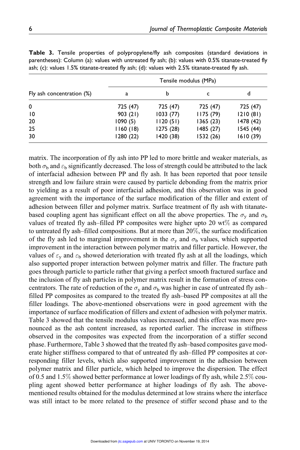|                           | Tensile modulus (MPa) |           |           |           |  |  |  |  |
|---------------------------|-----------------------|-----------|-----------|-----------|--|--|--|--|
| Fly ash concentration (%) | a                     | b         | c         | d         |  |  |  |  |
| 0                         | 725 (47)              | 725 (47)  | 725 (47)  | 725 (47)  |  |  |  |  |
| $\overline{10}$           | 903(21)               | 1033(77)  | 1175(79)  | 1210(81)  |  |  |  |  |
| 20                        | 1090(5)               | 1120(51)  | 1365(23)  | 1478 (42) |  |  |  |  |
| 25                        | 1160(18)              | 1275 (28) | 1485 (27) | 1545(44)  |  |  |  |  |
| 30                        | 1280 (22)             | 1420 (38) | 1532 (26) | 1610(39)  |  |  |  |  |

Table 3. Tensile properties of polypropylene/fly ash composites (standard deviations in parentheses): Column (a): values with untreated fly ash; (b): values with 0.5% titanate-treated fly ash; (c): values 1.5% titanate-treated fly ash; (d): values with 2.5% titanate-treated fly ash.

matrix. The incorporation of fly ash into PP led to more brittle and weaker materials, as both  $\sigma_{\rm b}$  and  $\varepsilon_{\rm b}$  significantly decreased. The loss of strength could be attributed to the lack of interfacial adhesion between PP and fly ash. It has been reported that poor tensile strength and low failure strain were caused by particle debonding from the matrix prior to yielding as a result of poor interfacial adhesion, and this observation was in good agreement with the importance of the surface modification of the filler and extent of adhesion between filler and polymer matrix. Surface treatment of fly ash with titanatebased coupling agent has significant effect on all the above properties. The  $\sigma_y$  and  $\sigma_b$ values of treated fly ash–filled PP composites were higher upto 20 wt% as compared to untreated fly ash–filled compositions. But at more than 20%, the surface modification of the fly ash led to marginal improvement in the  $\sigma_y$  and  $\sigma_b$  values, which supported improvement in the interaction between polymer matrix and filler particle. However, the values of  $\varepsilon_v$  and  $\varepsilon_b$  showed deterioration with treated fly ash at all the loadings, which also supported proper interaction between polymer matrix and filler. The fracture path goes through particle to particle rather that giving a perfect smooth fractured surface and the inclusion of fly ash particles in polymer matrix result in the formation of stress concentrators. The rate of reduction of the  $\sigma_y$  and  $\sigma_b$  was higher in case of untreated fly ashfilled PP composites as compared to the treated fly ash–based PP composites at all the filler loadings. The above-mentioned observations were in good agreement with the importance of surface modification of fillers and extent of adhesion with polymer matrix. Table 3 showed that the tensile modulus values increased, and this effect was more pronounced as the ash content increased, as reported earlier. The increase in stiffness observed in the composites was expected from the incorporation of a stiffer second phase. Furthermore, Table 3 showed that the treated fly ash–based composites gave moderate higher stiffness compared to that of untreated fly ash–filled PP composites at corresponding filler levels, which also supported improvement in the adhesion between polymer matrix and filler particle, which helped to improve the dispersion. The effect of 0.5 and 1.5% showed better performance at lower loadings of fly ash, while 2.5% coupling agent showed better performance at higher loadings of fly ash. The abovementioned results obtained for the modulus determined at low strains where the interface was still intact to be more related to the presence of stiffer second phase and to the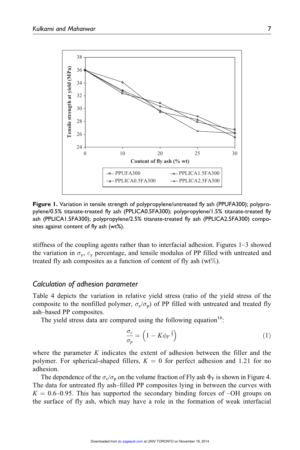

Figure 1. Variation in tensile strength of polypropylene/untreated fly ash (PPUFA300); polypropylene/0.5% titanate-treated fly ash (PPLICA0.5FA300); polypropylene/1.5% titanate-treated fly ash (PPLICA1.5FA300); polypropylene/2.5% titanate-treated fly ash (PPLICA2.5FA300) composites against content of fly ash (wt%).

stiffness of the coupling agents rather than to interfacial adhesion. Figures 1–3 showed the variation in  $\sigma_y$ ,  $\varepsilon_y$  percentage, and tensile modulus of PP filled with untreated and treated fly ash composites as a function of content of fly ash  $(wt\%)$ .

# Calculation of adhesion parameter

Table 4 depicts the variation in relative yield stress (ratio of the yield stress of the composite to the nonfilled polymer,  $\sigma_{\rm c}/\sigma_{\rm p}$ ) of PP filled with untreated and treated fly ash–based PP composites.

The yield stress data are compared using the following equation<sup>16</sup>:

$$
\frac{\sigma_c}{\sigma_p} = \left(1 - K \phi_F^{-\frac{2}{3}}\right) \tag{1}
$$

where the parameter K indicates the extent of adhesion between the filler and the polymer. For spherical-shaped fillers,  $K = 0$  for perfect adhesion and 1.21 for no adhesion.

The dependence of the  $\sigma_c/\sigma_p$  on the volume fraction of Fly ash  $\Phi_F$  is shown in Figure 4. The data for untreated fly ash–filled PP composites lying in between the curves with  $K = 0.6$ –0.95. This has supported the secondary binding forces of –OH groups on the surface of fly ash, which may have a role in the formation of weak interfacial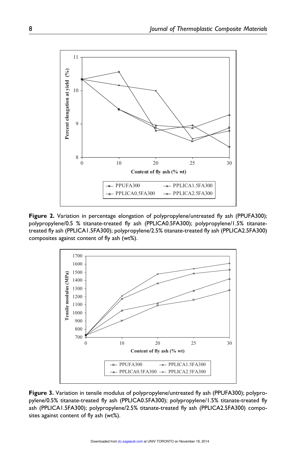

Figure 2. Variation in percentage elongation of polypropylene/untreated fly ash (PPUFA300); polypropylene/0.5 % titanate-treated fly ash (PPLICA0.5FA300); polypropylene/1.5% titanatetreated fly ash (PPLICA1.5FA300); polypropylene/2.5% titanate-treated fly ash (PPLICA2.5FA300) composites against content of fly ash (wt%).



Figure 3. Variation in tensile modulus of polypropylene/untreated fly ash (PPUFA300); polypropylene/0.5% titanate-treated fly ash (PPLICA0.5FA300); polypropylene/1.5% titanate-treated fly ash (PPLICA1.5FA300); polypropylene/2.5% titanate-treated fly ash (PPLICA2.5FA300) composites against content of fly ash (wt%).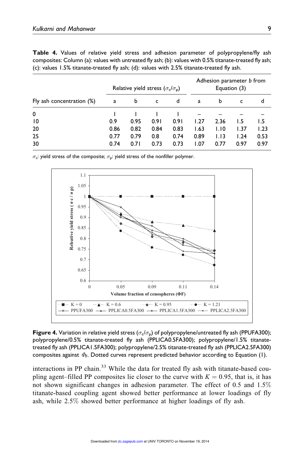|  |  |  |  |                                                                                               | <b>Table 4.</b> Values of relative yield stress and adhesion parameter of polypropylene/fly ash        |  |
|--|--|--|--|-----------------------------------------------------------------------------------------------|--------------------------------------------------------------------------------------------------------|--|
|  |  |  |  |                                                                                               | composites: Column (a): values with untreated fly ash; (b): values with 0.5% titanate-treated fly ash; |  |
|  |  |  |  | (c): values 1.5% titanate-treated fly ash; (d): values with $2.5\%$ titanate-treated fly ash. |                                                                                                        |  |

|                           | Relative yield stress $(\sigma_c/\sigma_p)$ |      |      |      | Adhesion parameter <i>b</i> from<br>Equation (3) |      |      |      |
|---------------------------|---------------------------------------------|------|------|------|--------------------------------------------------|------|------|------|
| Fly ash concentration (%) | a                                           | b    | c    | d    | a                                                | b    | c    | d    |
| 0                         |                                             |      |      |      |                                                  |      |      |      |
| $\overline{10}$           | 0.9                                         | 0.95 | 0.91 | 0.91 | 1.27                                             | 2.36 | I.5  | 1.5  |
| 20                        | 0.86                                        | 0.82 | 0.84 | 0.83 | 1.63                                             | 1.10 | 1.37 | 1.23 |
| 25                        | 0.77                                        | 0.79 | 0.8  | 0.74 | 0.89                                             | 1.13 | 1.24 | 0.53 |
| 30                        | 0.74                                        | 0.71 | 0.73 | 0.73 | 1.07                                             | 0.77 | 0.97 | 0.97 |

 $\sigma_{\mathbf{c}}$ : yield stress of the composite;  $\sigma_{\mathbf{p}}$ : yield stress of the nonfiller polymer.



**Figure 4.** Variation in relative yield stress ( $\sigma_{\rm c}/\sigma_{\rm p}$ ) of polypropylene/untreated fly ash (PPUFA300); polypropylene/0.5% titanate-treated fly ash (PPLICA0.5FA300); polypropylene/1.5% titanatetreated fly ash (PPLICA1.5FA300); polypropylene/2.5% titanate-treated fly ash (PPLICA2.5FA300) composites against  $\varPhi_{\mathsf{F}}.$  Dotted curves represent predicted behavior according to Equation (1).

interactions in PP chain.<sup>33</sup> While the data for treated fly ash with titanate-based coupling agent–filled PP composites lie closer to the curve with  $K = 0.95$ , that is, it has not shown significant changes in adhesion parameter. The effect of 0.5 and 1.5% titanate-based coupling agent showed better performance at lower loadings of fly ash, while 2.5% showed better performance at higher loadings of fly ash.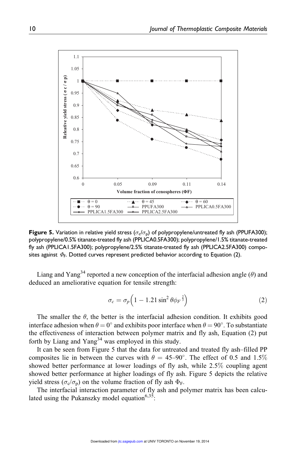

**Figure 5.** Variation in relative yield stress ( $\sigma_{\rm c}/\sigma_{\rm p}$ ) of polypropylene/untreated fly ash (PPUFA300); polypropylene/0.5% titanate-treated fly ash (PPLICA0.5FA300); polypropylene/1.5% titanate-treated fly ash (PPLICA1.5FA300); polypropylene/2.5% titanate-treated fly ash (PPLICA2.5FA300) composites against  $\varPhi_{\mathsf{F}}$ . Dotted curves represent predicted behavior according to Equation (2).

Liang and Yang<sup>34</sup> reported a new conception of the interfacial adhesion angle ( $\theta$ ) and deduced an ameliorative equation for tensile strength:

$$
\sigma_c = \sigma_p \left( 1 - 1.21 \sin^2 \theta \phi_F^{\frac{2}{3}} \right) \tag{2}
$$

The smaller the  $\theta$ , the better is the interfacial adhesion condition. It exhibits good interface adhesion when  $\theta = 0^{\circ}$  and exhibits poor interface when  $\theta = 90^{\circ}$ . To substantiate the effectiveness of interaction between polymer matrix and fly ash, Equation (2) put forth by Liang and Yang<sup>34</sup> was employed in this study.

It can be seen from Figure 5 that the data for untreated and treated fly ash–filled PP composites lie in between the curves with  $\theta = 45{\text -}90^{\circ}$ . The effect of 0.5 and 1.5% showed better performance at lower loadings of fly ash, while 2.5% coupling agent showed better performance at higher loadings of fly ash. Figure 5 depicts the relative yield stress  $(\sigma_c/\sigma_p)$  on the volume fraction of fly ash  $\Phi_F$ .

The interfacial interaction parameter of fly ash and polymer matrix has been calculated using the Pukanszky model equation<sup>6,35</sup>: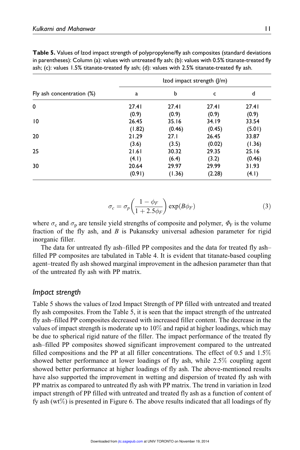|                           | Izod impact strength ( /m) |        |        |        |  |  |  |  |
|---------------------------|----------------------------|--------|--------|--------|--|--|--|--|
| Fly ash concentration (%) | a                          | b      | c      | d      |  |  |  |  |
| 0                         | 27.41                      | 27.41  | 27.41  | 27.41  |  |  |  |  |
|                           | (0.9)                      | (0.9)  | (0.9)  | (0.9)  |  |  |  |  |
| 10                        | 26.45                      | 35.16  | 34.19  | 33.54  |  |  |  |  |
|                           | (1.82)                     | (0.46) | (0.45) | (5.01) |  |  |  |  |
| 20                        | 21.29                      | 27.1   | 26.45  | 33.87  |  |  |  |  |
|                           | (3.6)                      | (3.5)  | (0.02) | (1.36) |  |  |  |  |
| 25                        | 21.61                      | 30.32  | 29.35  | 25.16  |  |  |  |  |
|                           | (4.1)                      | (6.4)  | (3.2)  | (0.46) |  |  |  |  |
| 30                        | 20.64                      | 29.97  | 29.99  | 31.93  |  |  |  |  |
|                           | (0.91)                     | (1.36) | (2.28) | (4.1)  |  |  |  |  |

Table 5. Values of Izod impact strength of polypropylene/fly ash composites (standard deviations in parentheses): Column (a): values with untreated fly ash; (b): values with 0.5% titanate-treated fly ash; (c): values 1.5% titanate-treated fly ash; (d): values with 2.5% titanate-treated fly ash.

$$
\sigma_c = \sigma_p \left( \frac{1 - \phi_F}{1 + 2.5 \phi_F} \right) \exp(B\phi_F) \tag{3}
$$

where  $\sigma_c$  and  $\sigma_p$  are tensile yield strengths of composite and polymer,  $\Phi_F$  is the volume fraction of the fly ash, and  $B$  is Pukanszky universal adhesion parameter for rigid inorganic filler.

The data for untreated fly ash–filled PP composites and the data for treated fly ash– filled PP composites are tabulated in Table 4. It is evident that titanate-based coupling agent–treated fly ash showed marginal improvement in the adhesion parameter than that of the untreated fly ash with PP matrix.

# Impact strength

Table 5 shows the values of Izod Impact Strength of PP filled with untreated and treated fly ash composites. From the Table 5, it is seen that the impact strength of the untreated fly ash–filled PP composites decreased with increased filler content. The decrease in the values of impact strength is moderate up to 10% and rapid at higher loadings, which may be due to spherical rigid nature of the filler. The impact performance of the treated fly ash–filled PP composites showed significant improvement compared to the untreated filled compositions and the PP at all filler concentrations. The effect of 0.5 and  $1.5\%$ showed better performance at lower loadings of fly ash, while 2.5% coupling agent showed better performance at higher loadings of fly ash. The above-mentioned results have also supported the improvement in wetting and dispersion of treated fly ash with PP matrix as compared to untreated fly ash with PP matrix. The trend in variation in Izod impact strength of PP filled with untreated and treated fly ash as a function of content of fy ash  $(wt\%)$  is presented in Figure 6. The above results indicated that all loadings of fly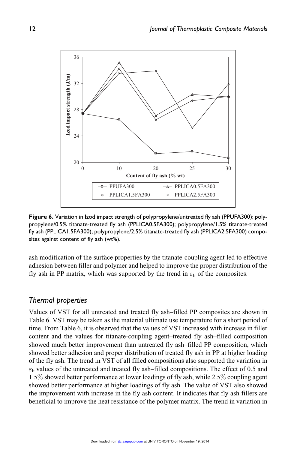

Figure 6. Variation in Izod impact strength of polypropylene/untreated fly ash (PPUFA300); polypropylene/0.5% titanate-treated fly ash (PPLICA0.5FA300); polypropylene/1.5% titanate-treated fly ash (PPLICA1.5FA300); polypropylene/2.5% titanate-treated fly ash (PPLICA2.5FA300) composites against content of fly ash (wt%).

ash modification of the surface properties by the titanate-coupling agent led to effective adhesion between filler and polymer and helped to improve the proper distribution of the fly ash in PP matrix, which was supported by the trend in  $\varepsilon_b$  of the composites.

# Thermal properties

Values of VST for all untreated and treated fly ash–filled PP composites are shown in Table 6. VST may be taken as the material ultimate use temperature for a short period of time. From Table 6, it is observed that the values of VST increased with increase in filler content and the values for titanate-coupling agent–treated fly ash–filled composition showed much better improvement than untreated fly ash–filled PP composition, which showed better adhesion and proper distribution of treated fly ash in PP at higher loading of the fly ash. The trend in VST of all filled compositions also supported the variation in  $\varepsilon_{\rm b}$  values of the untreated and treated fly ash–filled compositions. The effect of 0.5 and 1.5% showed better performance at lower loadings of fly ash, while 2.5% coupling agent showed better performance at higher loadings of fly ash. The value of VST also showed the improvement with increase in the fly ash content. It indicates that fly ash fillers are beneficial to improve the heat resistance of the polymer matrix. The trend in variation in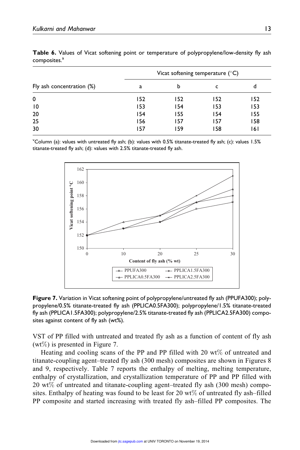|                           | Vicat softening temperature $(^\circ C)$ |     |     |     |  |  |
|---------------------------|------------------------------------------|-----|-----|-----|--|--|
| Fly ash concentration (%) | a                                        | b   | c   | d   |  |  |
| 0                         | 152                                      | 152 | 152 | 152 |  |  |
| $\overline{10}$           | 153                                      | 154 | 153 | 153 |  |  |
| 20                        | 154                                      | 155 | 154 | 155 |  |  |
| 25                        | 156                                      | 157 | 157 | 158 |  |  |
| 30                        | 157                                      | 159 | 158 | 161 |  |  |

Table 6. Values of Vicat softening point or temperature of polypropylene/low-density fly ash composites.<sup>a</sup>

<sup>Y</sup>Column (a): values with untreated fly ash; (b): values with 0.5% titanate-treated fly ash; (c): values 1.5% titanate-treated fly ash; (d): values with 2.5% titanate-treated fly ash.



Figure 7. Variation in Vicat softening point of polypropylene/untreated fly ash (PPUFA300); polypropylene/0.5% titanate-treated fly ash (PPLICA0.5FA300); polypropylene/1.5% titanate-treated fly ash (PPLICA1.5FA300); polypropylene/2.5% titanate-treated fly ash (PPLICA2.5FA300) composites against content of fly ash (wt%).

VST of PP filled with untreated and treated fly ash as a function of content of fly ash  $(wt\%)$  is presented in Figure 7.

Heating and cooling scans of the PP and PP filled with 20 wt% of untreated and titanate-coupling agent–treated fly ash (300 mesh) composites are shown in Figures 8 and 9, respectively. Table 7 reports the enthalpy of melting, melting temperature, enthalpy of crystallization, and crystallization temperature of PP and PP filled with 20 wt% of untreated and titanate-coupling agent–treated fly ash (300 mesh) composites. Enthalpy of heating was found to be least for 20 wt $\%$  of untreated fly ash–filled PP composite and started increasing with treated fly ash–filled PP composites. The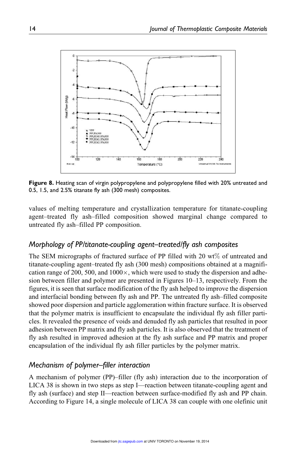

Figure 8. Heating scan of virgin polypropylene and polypropylene filled with 20% untreated and 0.5, 1.5, and 2.5% titanate fly ash (300 mesh) composites.

values of melting temperature and crystallization temperature for titanate-coupling agent–treated fly ash–filled composition showed marginal change compared to untreated fly ash–filled PP composition.

# Morphology of PP/titanate-coupling agent–treated/fly ash composites

The SEM micrographs of fractured surface of PP filled with 20 wt% of untreated and titanate-coupling agent–treated fly ash (300 mesh) compositions obtained at a magnification range of 200, 500, and  $1000 \times$ , which were used to study the dispersion and adhesion between filler and polymer are presented in Figures 10–13, respectively. From the figures, it is seen that surface modification of the fly ash helped to improve the dispersion and interfacial bonding between fly ash and PP. The untreated fly ash–filled composite showed poor dispersion and particle agglomeration within fracture surface. It is observed that the polymer matrix is insufficient to encapsulate the individual fly ash filler particles. It revealed the presence of voids and denuded fly ash particles that resulted in poor adhesion between PP matrix and fly ash particles. It is also observed that the treatment of fly ash resulted in improved adhesion at the fly ash surface and PP matrix and proper encapsulation of the individual fly ash filler particles by the polymer matrix.

# Mechanism of polymer–filler interaction

A mechanism of polymer (PP)–filler (fly ash) interaction due to the incorporation of LICA 38 is shown in two steps as step I—reaction between titanate-coupling agent and fly ash (surface) and step II—reaction between surface-modified fly ash and PP chain. According to Figure 14, a single molecule of LICA 38 can couple with one olefinic unit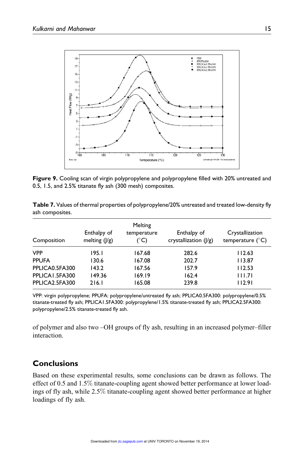

Figure 9. Cooling scan of virgin polypropylene and polypropylene filled with 20% untreated and 0.5, 1.5, and 2.5% titanate fly ash (300 mesh) composites.

| Composition    | Enthalpy of<br>melting $( /g)$ | Melting<br>temperature<br>(°C) | Enthalpy of<br>crystallization $( g )$ | Crystallization<br>temperature $(^{\circ}C)$ |
|----------------|--------------------------------|--------------------------------|----------------------------------------|----------------------------------------------|
| <b>VPP</b>     | 195.I                          | 167.68                         | 282.6                                  | 112.63                                       |
| <b>PPUFA</b>   | 130.6                          | 167.08                         | 202.7                                  | 113.87                                       |
| PPLICA0.5FA300 | 143.2                          | 167.56                         | 157.9                                  | 112.53                                       |
| PPLICA1.5FA300 | 149.36                         | 169.19                         | 162.4                                  | 111.71                                       |
| PPLICA2.5FA300 | 216.1                          | 165.08                         | 239.8                                  | 112.91                                       |

Table 7. Values of thermal properties of polypropylene/20% untreated and treated low-density fly ash composites.

VPP: virgin polypropylene; PPUFA: polypropylene/untreated fly ash; PPLICA0.5FA300: polypropylene/0.5% titanate-treated fly ash; PPLICA1.5FA300: polypropylene/1.5% titanate-treated fly ash; PPLICA2.5FA300: polypropylene/2.5% titanate-treated fly ash.

of polymer and also two –OH groups of fly ash, resulting in an increased polymer–filler interaction.

# **Conclusions**

Based on these experimental results, some conclusions can be drawn as follows. The effect of 0.5 and 1.5% titanate-coupling agent showed better performance at lower loadings of fly ash, while 2.5% titanate-coupling agent showed better performance at higher loadings of fly ash.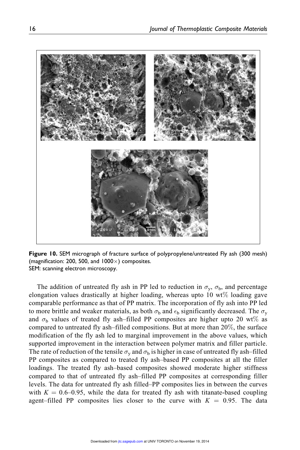

Figure 10. SEM micrograph of fracture surface of polypropylene/untreated Fly ash (300 mesh) (magnification: 200, 500, and  $1000\times$ ) composites. SEM: scanning electron microscopy.

The addition of untreated fly ash in PP led to reduction in  $\sigma_y$ ,  $\sigma_b$ , and percentage elongation values drastically at higher loading, whereas upto 10  $wt\%$  loading gave comparable performance as that of PP matrix. The incorporation of fly ash into PP led to more brittle and weaker materials, as both  $\sigma_{\rm b}$  and  $\epsilon_{\rm b}$  significantly decreased. The  $\sigma_{\rm y}$ and  $\sigma_{\rm b}$  values of treated fly ash-filled PP composites are higher upto 20 wt% as compared to untreated fly ash–filled compositions. But at more than 20%, the surface modification of the fly ash led to marginal improvement in the above values, which supported improvement in the interaction between polymer matrix and filler particle. The rate of reduction of the tensile  $\sigma_{\rm y}$  and  $\sigma_{\rm b}$  is higher in case of untreated fly ash–filled PP composites as compared to treated fly ash–based PP composites at all the filler loadings. The treated fly ash–based composites showed moderate higher stiffness compared to that of untreated fly ash–filled PP composites at corresponding filler levels. The data for untreated fly ash filled–PP composites lies in between the curves with  $K = 0.6{\text -}0.95$ , while the data for treated fly ash with titanate-based coupling agent–filled PP composites lies closer to the curve with  $K = 0.95$ . The data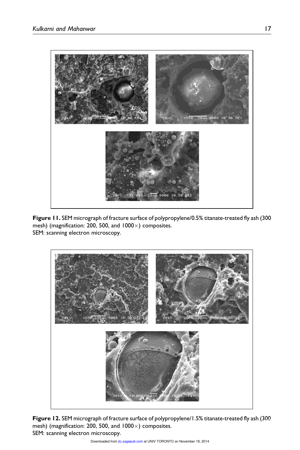

Figure 11. SEM micrograph of fracture surface of polypropylene/0.5% titanate-treated fly ash (300 mesh) (magnification: 200, 500, and  $1000 \times$ ) composites. SEM: scanning electron microscopy.



Figure 12. SEM micrograph of fracture surface of polypropylene/1.5% titanate-treated fly ash (300 mesh) (magnification: 200, 500, and  $1000 \times$ ) composites. SEM: scanning electron microscopy.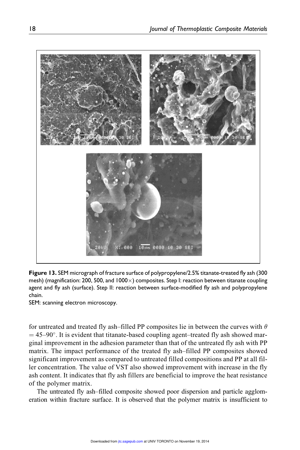

Figure 13. SEM micrograph of fracture surface of polypropylene/2.5% titanate-treated fly ash (300 mesh) (magnification: 200, 500, and  $1000 \times$ ) composites. Step I: reaction between titanate coupling agent and fly ash (surface). Step II: reaction between surface-modified fly ash and polypropylene chain.

SEM: scanning electron microscopy.

for untreated and treated fly ash–filled PP composites lie in between the curves with  $\theta$  $=$  45–90 $^{\circ}$ . It is evident that titanate-based coupling agent–treated fly ash showed marginal improvement in the adhesion parameter than that of the untreated fly ash with PP matrix. The impact performance of the treated fly ash–filled PP composites showed significant improvement as compared to untreated filled compositions and PP at all filler concentration. The value of VST also showed improvement with increase in the fly ash content. It indicates that fly ash fillers are beneficial to improve the heat resistance of the polymer matrix.

The untreated fly ash–filled composite showed poor dispersion and particle agglomeration within fracture surface. It is observed that the polymer matrix is insufficient to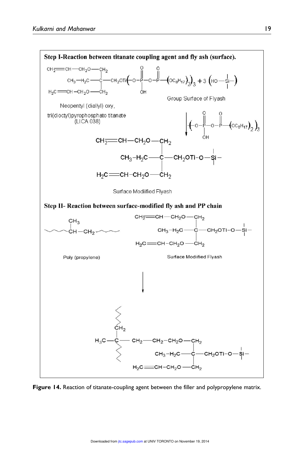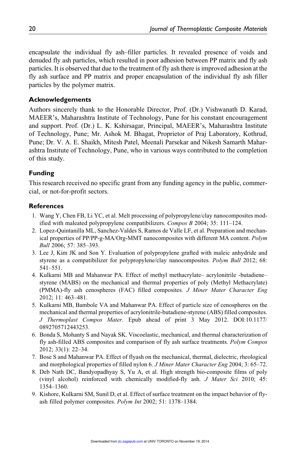encapsulate the individual fly ash–filler particles. It revealed presence of voids and denuded fly ash particles, which resulted in poor adhesion between PP matrix and fly ash particles. It is observed that due to the treatment of fly ash there is improved adhesion at the fly ash surface and PP matrix and proper encapsulation of the individual fly ash filler particles by the polymer matrix.

#### Acknowledgements

Authors sincerely thank to the Honorable Director, Prof. (Dr.) Vishwanath D. Karad, MAEER's, Maharashtra Institute of Technology, Pune for his constant encouragement and support. Prof. (Dr.) L. K. Kshirsagar, Principal, MAEER's, Maharashtra Institute of Technology, Pune; Mr. Ashok M. Bhagat, Proprietor of Praj Laboratory, Kothrud, Pune; Dr. V. A. E. Shaikh, Mitesh Patel, Meenali Parsekar and Nikesh Samarth Maharashtra Institute of Technology, Pune, who in various ways contributed to the completion of this study.

#### Funding

This research received no specific grant from any funding agency in the public, commercial, or not-for-profit sectors.

#### **References**

- 1. Wang Y, Chen FB, Li YC, et al. Melt processing of polypropylene/clay nanocomposites modified with maleated polypropylene compatibilizers. Compos B 2004; 35: 111–124.
- 2. Lopez-Quintanilla ML, Sanchez-Valdes S, Ramos de Valle LF, et al. Preparation and mechanical properties of PP/PP-g-MA/Org-MMT nanocomposites with different MA content. Polym Bull 2006; 57: 385–393.
- 3. Lee J, Kim JK and Son Y. Evaluation of polypropylene grafted with maleic anhydride and styrene as a compatibilizer for polypropylene/clay nanocomposites. Polym Bull 2012; 68: 541–551.
- 4. Kulkarni MB and Mahanwar PA. Effect of methyl methacrylate– acrylonitrile -butadiene– styrene (MABS) on the mechanical and thermal properties of poly (Methyl Methacrylate) (PMMA)-fly ash cenospheres (FAC) filled composites. J Miner Mater Character Eng 2012; 11: 463–481.
- 5. Kulkarni MB, Bambole VA and Mahanwar PA. Effect of particle size of cenospheres on the mechanical and thermal properties of acrylonitrile-butadiene-styrene (ABS) filled composites. J Thermoplast Compos Mater. Epub ahead of print 3 May 2012. DOI:10.1177/ 0892705712443253.
- 6. Bonda S, Mohanty S and Nayak SK. Viscoelastic, mechanical, and thermal characterization of fly ash-filled ABS composites and comparison of fly ash surface treatments. Polym Compos 2012; 33(1): 22–34.
- 7. Bose S and Mahanwar PA. Effect of flyash on the mechanical, thermal, dielectric, rheological and morphological properties of filled nylon 6. J Miner Mater Character Eng 2004; 3: 65–72.
- 8. Deb Nath DC, Bandyopadhyay S, Yu A, et al. High strength bio-composite films of poly (vinyl alcohol) reinforced with chemically modified-fly ash. J Mater Sci 2010; 45: 1354–1360.
- 9. Kishore, Kulkarni SM, Sunil D, et al. Effect of surface treatment on the impact behavior of flyash filled polymer composites. Polym Int 2002; 51: 1378–1384.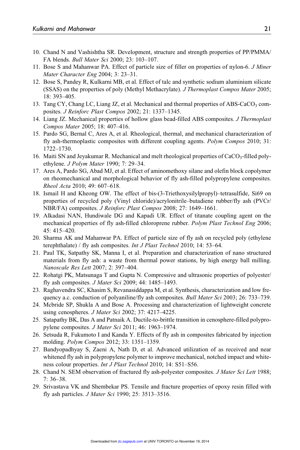- 10. Chand N and Vashishtha SR. Development, structure and strength properties of PP/PMMA/ FA blends. Bull Mater Sci 2000; 23: 103–107.
- 11. Bose S and Mahanwar PA. Effect of particle size of filler on properties of nylon-6. J Miner Mater Character Eng 2004; 3: 23–31.
- 12. Bose S, Pandey R, Kulkarni MB, et al. Effect of talc and synthetic sodium aluminium silicate (SSAS) on the properties of poly (Methyl Methacrylate). J Thermoplast Compos Mater 2005; 18: 393–405.
- 13. Tang CY, Chang LC, Liang JZ, et al. Mechanical and thermal properties of ABS-CaCO<sub>3</sub> composites. J Reinforc Plast Compos 2002; 21: 1337–1345.
- 14. Liang JZ. Mechanical properties of hollow glass bead-filled ABS composites. *J Thermoplast* Compos Mater 2005; 18: 407–416.
- 15. Pardo SG, Bernal C, Ares A, et al. Rheological, thermal, and mechanical characterization of fly ash-thermoplastic composites with different coupling agents. Polym Compos 2010; 31: 1722–1730.
- 16. Maiti SN and Jeyakumar R. Mechanical and melt rheological properties of  $CaCO<sub>3</sub>$ -filled polyethylene. J Polym Mater 1990; 7: 29–34.
- 17. Ares A, Pardo SG, Abad MJ, et al. Effect of aminomethoxy silane and olefin block copolymer on rheomechanical and morphological behavior of fly ash-filled polypropylene composites. Rheol Acta 2010; 49: 607–618.
- 18. Ismail H and Kheong OW. The effect of bis-(3-Triethoxysilylpropyl)–tetrasulfide, Si69 on properties of recycled poly (Vinyl chloride)/acrylonitrile–butadiene rubber/fly ash (PVCr/ NBR/FA) composites. J Reinforc Plast Compos 2008; 27: 1649–1661.
- 19. Alkadasi NAN, Hundiwale DG and Kapadi UR. Effect of titanate coupling agent on the mechanical properties of fly ash-filled chloroprene rubber. Polym Plast Technol Eng 2006; 45: 415–420.
- 20. Sharma AK and Mahanwar PA. Effect of particle size of fly ash on recycled poly (ethylene terephthalate) / fly ash composites. Int J Plast Technol 2010; 14: 53-64.
- 21. Paul TK, Satpathy SK, Manna I, et al. Preparation and characterization of nano structured materials from fly ash: a waste from thermal power stations, by high energy ball milling. Nanoscale Res Lett 2007; 2: 397–404.
- 22. Rohatgi PK, Matsunaga T and Gupta N. Compressive and ultrasonic properties of polyester/ fly ash composites. J Mater Sci 2009; 44: 1485–1493.
- 23. Raghavendra SC, Khasim S, Revanasiddappa M, et al. Synthesis, characterization and low frequency a.c. conduction of polyaniline/fly ash composites. Bull Mater Sci 2003; 26: 733–739.
- 24. Mcbride SP, Shukla A and Bose A. Processing and characterization of lightweight concrete using cenospheres. J Mater Sci 2002; 37: 4217–4225.
- 25. Satapathy BK, Das A and Patnaik A. Ductile-to-brittle transition in cenosphere-filled polypropylene composites. J Mater Sci 2011; 46: 1963–1974.
- 26. Setsuda R, Fukumoto I and Kanda Y. Effects of fly ash in composites fabricated by injection molding. Polym Compos 2012; 33: 1351–1359.
- 27. Bandyopadhyay S, Zaeni A, Nath D, et al. Advanced utilization of as received and near whitened fly ash in polypropylene polymer to improve mechanical, notched impact and whiteness colour properties. Int J Plast Technol 2010; 14: S51–S56.
- 28. Chand N. SEM observation of fractured fly ash-polyester composites. *J Mater Sci Lett* 1988; 7: 36–38.
- 29. Srivastava VK and Shembekar PS. Tensile and fracture properties of epoxy resin filled with fly ash particles. J Mater Sci 1990; 25: 3513–3516.